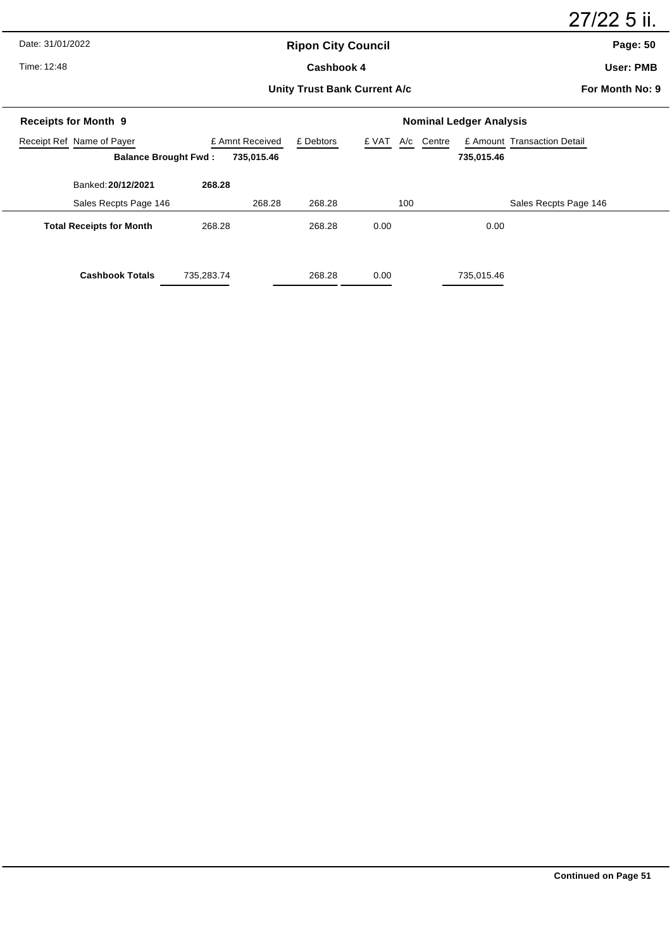Date: 31/01/2022

Time: 12:48

# **Ripon City Council** Cashbook 4

27/22 5 ii.

**Page: 50**

**User: PMB**

## **Unity Trust Bank Current A/c**

**For Month No: 9**

| <b>Receipts for Month 9</b>     |                 | <b>Nominal Ledger Analysis</b> |                     |                             |  |  |  |  |
|---------------------------------|-----------------|--------------------------------|---------------------|-----------------------------|--|--|--|--|
| Receipt Ref Name of Payer       | £ Amnt Received | £ Debtors                      | A/c Centre<br>£ VAT | £ Amount Transaction Detail |  |  |  |  |
| <b>Balance Brought Fwd:</b>     | 735,015.46      |                                |                     | 735,015.46                  |  |  |  |  |
| Banked: 20/12/2021              | 268.28          |                                |                     |                             |  |  |  |  |
| Sales Recpts Page 146           | 268.28          | 268.28                         | 100                 | Sales Recpts Page 146       |  |  |  |  |
| <b>Total Receipts for Month</b> | 268.28          | 268.28                         | 0.00                | 0.00                        |  |  |  |  |
| <b>Cashbook Totals</b>          | 735,283.74      | 268.28                         | 0.00                | 735,015.46                  |  |  |  |  |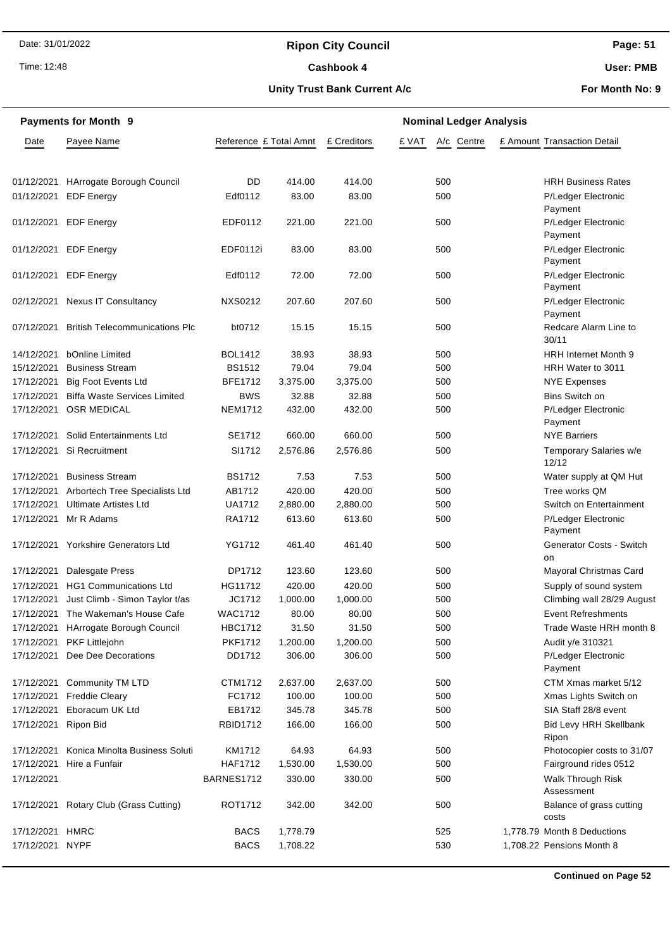# **Ripon City Council**

Time: 12:48

## Cashbook 4

**Page: 51**

**User: PMB**

#### **Unity Trust Bank Current A/c**

**For Month No: 9**

| <b>Payments for Month 9</b> |                                       |                        | <b>Nominal Ledger Analysis</b> |             |       |            |  |                                        |  |
|-----------------------------|---------------------------------------|------------------------|--------------------------------|-------------|-------|------------|--|----------------------------------------|--|
| Date                        | Payee Name                            | Reference £ Total Amnt |                                | £ Creditors | £ VAT | A/c Centre |  | £ Amount Transaction Detail            |  |
|                             | 01/12/2021 HArrogate Borough Council  | DD                     | 414.00                         | 414.00      |       | 500        |  | <b>HRH Business Rates</b>              |  |
| 01/12/2021                  | <b>EDF Energy</b>                     | Edf0112                | 83.00                          | 83.00       |       | 500        |  | P/Ledger Electronic<br>Payment         |  |
| 01/12/2021                  | <b>EDF Energy</b>                     | EDF0112                | 221.00                         | 221.00      |       | 500        |  | P/Ledger Electronic<br>Payment         |  |
| 01/12/2021                  | <b>EDF Energy</b>                     | EDF0112i               | 83.00                          | 83.00       |       | 500        |  | P/Ledger Electronic<br>Payment         |  |
| 01/12/2021                  | <b>EDF Energy</b>                     | Edf0112                | 72.00                          | 72.00       |       | 500        |  | P/Ledger Electronic<br>Payment         |  |
|                             | 02/12/2021 Nexus IT Consultancy       | <b>NXS0212</b>         | 207.60                         | 207.60      |       | 500        |  | P/Ledger Electronic<br>Payment         |  |
| 07/12/2021                  | <b>British Telecommunications Plc</b> | bt0712                 | 15.15                          | 15.15       |       | 500        |  | Redcare Alarm Line to<br>30/11         |  |
| 14/12/2021                  | <b>bOnline Limited</b>                | <b>BOL1412</b>         | 38.93                          | 38.93       |       | 500        |  | <b>HRH Internet Month 9</b>            |  |
| 15/12/2021                  | <b>Business Stream</b>                | <b>BS1512</b>          | 79.04                          | 79.04       |       | 500        |  | HRH Water to 3011                      |  |
| 17/12/2021                  | <b>Big Foot Events Ltd</b>            | <b>BFE1712</b>         | 3,375.00                       | 3,375.00    |       | 500        |  | <b>NYE Expenses</b>                    |  |
| 17/12/2021                  | <b>Biffa Waste Services Limited</b>   | <b>BWS</b>             | 32.88                          | 32.88       |       | 500        |  | Bins Switch on                         |  |
| 17/12/2021                  | <b>OSR MEDICAL</b>                    | <b>NEM1712</b>         | 432.00                         | 432.00      |       | 500        |  | P/Ledger Electronic<br>Payment         |  |
| 17/12/2021                  | Solid Entertainments Ltd              | SE1712                 | 660.00                         | 660.00      |       | 500        |  | <b>NYE Barriers</b>                    |  |
|                             | 17/12/2021 Si Recruitment             | SI1712                 | 2,576.86                       | 2,576.86    |       | 500        |  | Temporary Salaries w/e<br>12/12        |  |
| 17/12/2021                  | <b>Business Stream</b>                | <b>BS1712</b>          | 7.53                           | 7.53        |       | 500        |  | Water supply at QM Hut                 |  |
| 17/12/2021                  | Arbortech Tree Specialists Ltd        | AB1712                 | 420.00                         | 420.00      |       | 500        |  | Tree works QM                          |  |
| 17/12/2021                  | <b>Ultimate Artistes Ltd</b>          | <b>UA1712</b>          | 2,880.00                       | 2,880.00    |       | 500        |  | Switch on Entertainment                |  |
| 17/12/2021                  | Mr R Adams                            | RA1712                 | 613.60                         | 613.60      |       | 500        |  | P/Ledger Electronic<br>Payment         |  |
|                             | 17/12/2021 Yorkshire Generators Ltd   | YG1712                 | 461.40                         | 461.40      |       | 500        |  | Generator Costs - Switch<br>on         |  |
| 17/12/2021                  | Dalesgate Press                       | DP1712                 | 123.60                         | 123.60      |       | 500        |  | Mayoral Christmas Card                 |  |
| 17/12/2021                  | <b>HG1 Communications Ltd</b>         | HG11712                | 420.00                         | 420.00      |       | 500        |  | Supply of sound system                 |  |
| 17/12/2021                  | Just Climb - Simon Taylor t/as        | JC1712                 | 1,000.00                       | 1,000.00    |       | 500        |  | Climbing wall 28/29 August             |  |
|                             | 17/12/2021 The Wakeman's House Cafe   | <b>WAC1712</b>         | 80.00                          | 80.00       |       | 500        |  | <b>Event Refreshments</b>              |  |
|                             | 17/12/2021 HArrogate Borough Council  | <b>HBC1712</b>         | 31.50                          | 31.50       |       | 500        |  | Trade Waste HRH month 8                |  |
| 17/12/2021                  | <b>PKF Littlejohn</b>                 | <b>PKF1712</b>         | 1,200.00                       | 1,200.00    |       | 500        |  | Audit y/e 310321                       |  |
| 17/12/2021                  | Dee Dee Decorations                   | DD1712                 | 306.00                         | 306.00      |       | 500        |  | P/Ledger Electronic<br>Payment         |  |
|                             | 17/12/2021 Community TM LTD           | CTM1712                | 2,637.00                       | 2,637.00    |       | 500        |  | CTM Xmas market 5/12                   |  |
| 17/12/2021                  | <b>Freddie Cleary</b>                 | FC1712                 | 100.00                         | 100.00      |       | 500        |  | Xmas Lights Switch on                  |  |
| 17/12/2021                  | Eboracum UK Ltd                       | EB1712                 | 345.78                         | 345.78      |       | 500        |  | SIA Staff 28/8 event                   |  |
| 17/12/2021 Ripon Bid        |                                       | <b>RBID1712</b>        | 166.00                         | 166.00      |       | 500        |  | <b>Bid Levy HRH Skellbank</b><br>Ripon |  |
| 17/12/2021                  | Konica Minolta Business Soluti        | KM1712                 | 64.93                          | 64.93       |       | 500        |  | Photocopier costs to 31/07             |  |
| 17/12/2021                  | Hire a Funfair                        | <b>HAF1712</b>         | 1,530.00                       | 1,530.00    |       | 500        |  | Fairground rides 0512                  |  |
| 17/12/2021                  |                                       | BARNES1712             | 330.00                         | 330.00      |       | 500        |  | <b>Walk Through Risk</b><br>Assessment |  |
| 17/12/2021                  | Rotary Club (Grass Cutting)           | ROT1712                | 342.00                         | 342.00      |       | 500        |  | Balance of grass cutting<br>costs      |  |
| 17/12/2021 HMRC             |                                       | <b>BACS</b>            | 1,778.79                       |             |       | 525        |  | 1,778.79 Month 8 Deductions            |  |
| 17/12/2021 NYPF             |                                       | <b>BACS</b>            | 1,708.22                       |             |       | 530        |  | 1,708.22 Pensions Month 8              |  |

**Continued on Page 52**